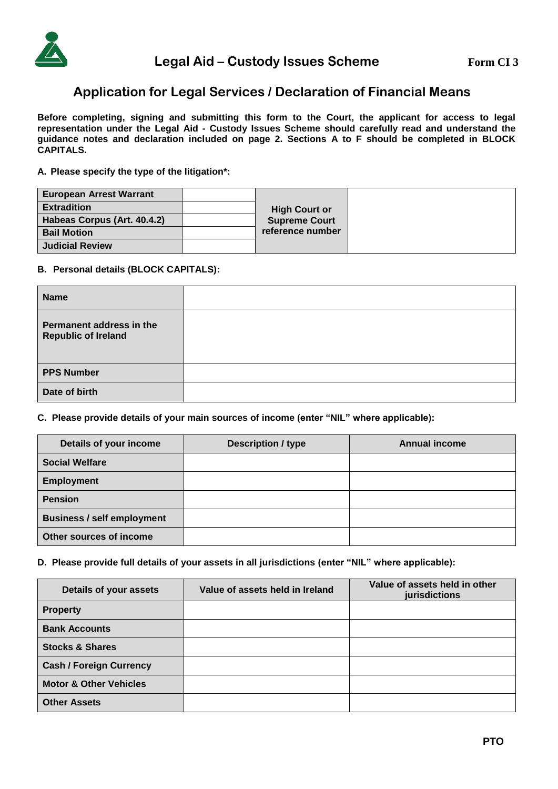

# **Application for Legal Services / Declaration of Financial Means**

**Before completing, signing and submitting this form to the Court, the applicant for access to legal representation under the Legal Aid - Custody Issues Scheme should carefully read and understand the guidance notes and declaration included on page 2. Sections A to F should be completed in BLOCK CAPITALS.**

**A. Please specify the type of the litigation\*:**

| <b>European Arrest Warrant</b> |  |                      |
|--------------------------------|--|----------------------|
| <b>Extradition</b>             |  | <b>High Court or</b> |
| Habeas Corpus (Art. 40.4.2)    |  | <b>Supreme Court</b> |
| <b>Bail Motion</b>             |  | reference number     |
| <b>Judicial Review</b>         |  |                      |

## **B. Personal details (BLOCK CAPITALS):**

| <b>Name</b>                                            |  |
|--------------------------------------------------------|--|
| Permanent address in the<br><b>Republic of Ireland</b> |  |
| <b>PPS Number</b>                                      |  |
| Date of birth                                          |  |

**C. Please provide details of your main sources of income (enter "NIL" where applicable):**

| Details of your income            | <b>Description / type</b> | <b>Annual income</b> |
|-----------------------------------|---------------------------|----------------------|
| <b>Social Welfare</b>             |                           |                      |
| <b>Employment</b>                 |                           |                      |
| <b>Pension</b>                    |                           |                      |
| <b>Business / self employment</b> |                           |                      |
| Other sources of income           |                           |                      |

### **D. Please provide full details of your assets in all jurisdictions (enter "NIL" where applicable):**

| Details of your assets            | Value of assets held in Ireland | Value of assets held in other<br>jurisdictions |
|-----------------------------------|---------------------------------|------------------------------------------------|
| <b>Property</b>                   |                                 |                                                |
| <b>Bank Accounts</b>              |                                 |                                                |
| <b>Stocks &amp; Shares</b>        |                                 |                                                |
| <b>Cash / Foreign Currency</b>    |                                 |                                                |
| <b>Motor &amp; Other Vehicles</b> |                                 |                                                |
| <b>Other Assets</b>               |                                 |                                                |